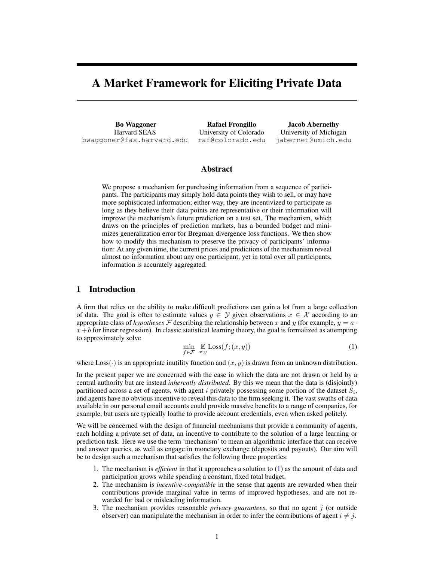# A Market Framework for Eliciting Private Data

Bo Waggoner Harvard SEAS bwaggoner@fas.harvard.edu

Rafael Frongillo University of Colorado raf@colorado.edu

Jacob Abernethy University of Michigan jabernet@umich.edu

# Abstract

We propose a mechanism for purchasing information from a sequence of participants. The participants may simply hold data points they wish to sell, or may have more sophisticated information; either way, they are incentivized to participate as long as they believe their data points are representative or their information will improve the mechanism's future prediction on a test set. The mechanism, which draws on the principles of prediction markets, has a bounded budget and minimizes generalization error for Bregman divergence loss functions. We then show how to modify this mechanism to preserve the privacy of participants' information: At any given time, the current prices and predictions of the mechanism reveal almost no information about any one participant, yet in total over all participants, information is accurately aggregated.

# 1 Introduction

A firm that relies on the ability to make difficult predictions can gain a lot from a large collection of data. The goal is often to estimate values  $y \in Y$  given observations  $x \in X$  according to an appropriate class of *hypotheses* F describing the relationship between x and y (for example,  $y = a \cdot$  $x + b$  for linear regression). In classic statistical learning theory, the goal is formalized as attempting to approximately solve

$$
\min_{f \in \mathcal{F}} \mathbb{E} \text{Loss}(f; (x, y)) \tag{1}
$$

where  $Loss(\cdot)$  is an appropriate inutility function and  $(x, y)$  is drawn from an unknown distribution.

In the present paper we are concerned with the case in which the data are not drawn or held by a central authority but are instead *inherently distributed*. By this we mean that the data is (disjointly) partitioned across a set of agents, with agent i privately possessing some portion of the dataset  $S_i$ , and agents have no obvious incentive to reveal this data to the firm seeking it. The vast swaths of data available in our personal email accounts could provide massive benefits to a range of companies, for example, but users are typically loathe to provide account credentials, even when asked politely.

We will be concerned with the design of financial mechanisms that provide a community of agents, each holding a private set of data, an incentive to contribute to the solution of a large learning or prediction task. Here we use the term 'mechanism' to mean an algorithmic interface that can receive and answer queries, as well as engage in monetary exchange (deposits and payouts). Our aim will be to design such a mechanism that satisfies the following three properties:

- 1. The mechanism is *efficient* in that it approaches a solution to (1) as the amount of data and participation grows while spending a constant, fixed total budget.
- 2. The mechanism is *incentive-compatible* in the sense that agents are rewarded when their contributions provide marginal value in terms of improved hypotheses, and are not rewarded for bad or misleading information.
- 3. The mechanism provides reasonable *privacy guarantees*, so that no agent j (or outside observer) can manipulate the mechanism in order to infer the contributions of agent  $i \neq j$ .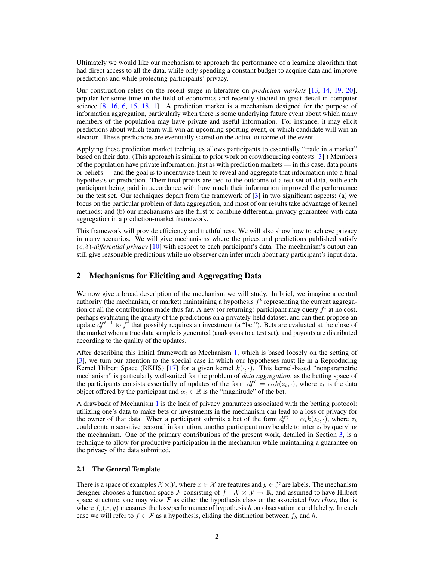Ultimately we would like our mechanism to approach the performance of a learning algorithm that had direct access to all the data, while only spending a constant budget to acquire data and improve predictions and while protecting participants' privacy.

Our construction relies on the recent surge in literature on *prediction markets* [13, 14, 19, 20], popular for some time in the field of economics and recently studied in great detail in computer science  $[8, 16, 6, 15, 18, 1]$ . A prediction market is a mechanism designed for the purpose of information aggregation, particularly when there is some underlying future event about which many members of the population may have private and useful information. For instance, it may elicit predictions about which team will win an upcoming sporting event, or which candidate will win an election. These predictions are eventually scored on the actual outcome of the event.

Applying these prediction market techniques allows participants to essentially "trade in a market" based on their data. (This approach is similar to prior work on crowdsourcing contests [3].) Members of the population have private information, just as with prediction markets — in this case, data points or beliefs — and the goal is to incentivize them to reveal and aggregate that information into a final hypothesis or prediction. Their final profits are tied to the outcome of a test set of data, with each participant being paid in accordance with how much their information improved the performance on the test set. Our techniques depart from the framework of [3] in two significant aspects: (a) we focus on the particular problem of data aggregation, and most of our results take advantage of kernel methods; and (b) our mechanisms are the first to combine differential privacy guarantees with data aggregation in a prediction-market framework.

This framework will provide efficiency and truthfulness. We will also show how to achieve privacy in many scenarios. We will give mechanisms where the prices and predictions published satisfy  $(\epsilon, \delta)$ -differential privacy [10] with respect to each participant's data. The mechanism's output can still give reasonable predictions while no observer can infer much about any participant's input data.

# 2 Mechanisms for Eliciting and Aggregating Data

We now give a broad description of the mechanism we will study. In brief, we imagine a central authority (the mechanism, or market) maintaining a hypothesis  $f^t$  representing the current aggregation of all the contributions made thus far. A new (or returning) participant may query  $f<sup>t</sup>$  at no cost, perhaps evaluating the quality of the predictions on a privately-held dataset, and can then propose an update  $df^{t+1}$  to  $f^t$  that possibly requires an investment (a "bet"). Bets are evaluated at the close of the market when a true data sample is generated (analogous to a test set), and payouts are distributed according to the quality of the updates.

After describing this initial framework as Mechanism 1, which is based loosely on the setting of [3], we turn our attention to the special case in which our hypotheses must lie in a Reproducing Kernel Hilbert Space (RKHS) [17] for a given kernel  $k(\cdot, \cdot)$ . This kernel-based "nonparametric mechanism" is particularly well-suited for the problem of *data aggregation*, as the betting space of the participants consists essentially of updates of the form  $df^t = \alpha_t k(z_t, \cdot)$ , where  $z_t$  is the data object offered by the participant and  $\alpha_t \in \mathbb{R}$  is the "magnitude" of the bet.

A drawback of Mechanism 1 is the lack of privacy guarantees associated with the betting protocol: utilizing one's data to make bets or investments in the mechanism can lead to a loss of privacy for the owner of that data. When a participant submits a bet of the form  $df^t = \alpha_t k(z_t, \cdot)$ , where  $z_t$ could contain sensitive personal information, another participant may be able to infer  $z_t$  by querying the mechanism. One of the primary contributions of the present work, detailed in Section 3, is a technique to allow for productive participation in the mechanism while maintaining a guarantee on the privacy of the data submitted.

# 2.1 The General Template

There is a space of examples  $X \times Y$ , where  $x \in \mathcal{X}$  are features and  $y \in Y$  are labels. The mechanism designer chooses a function space F consisting of  $f : \mathcal{X} \times \mathcal{Y} \to \mathbb{R}$ , and assumed to have Hilbert space structure; one may view  $\mathcal F$  as either the hypothesis class or the associated *loss class*, that is where  $f_h(x, y)$  measures the loss/performance of hypothesis h on observation x and label y. In each case we will refer to  $f \in \mathcal{F}$  as a hypothesis, eliding the distinction between  $f_h$  and h.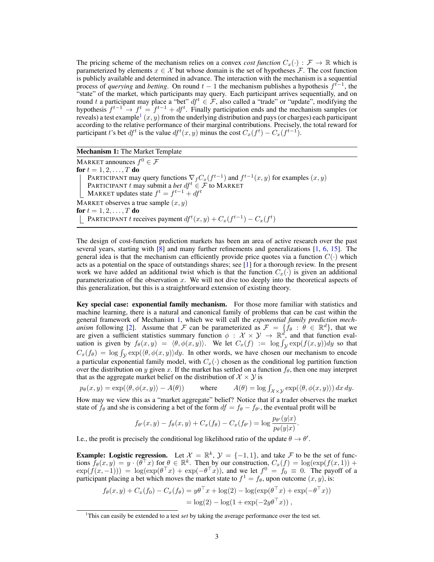The pricing scheme of the mechanism relies on a convex *cost function*  $C_x(\cdot) : \mathcal{F} \to \mathbb{R}$  which is parameterized by elements  $x \in \mathcal{X}$  but whose domain is the set of hypotheses  $\mathcal{F}$ . The cost function is publicly available and determined in advance. The interaction with the mechanism is a sequential process of *querying* and *betting*. On round  $t - 1$  the mechanism publishes a hypothesis  $f^{t-1}$ , the "state" of the market, which participants may query. Each participant arrives sequentially, and on round t a participant may place a "bet"  $df^t \in \mathcal{F}$ , also called a "trade" or "update", modifying the hypothesis  $f^{t-1} \rightarrow f^t = f^{t-1} + df^t$ . Finally participation ends and the mechanism samples (or reveals) a test example<sup>1</sup>  $(x, y)$  from the underlying distribution and pays (or charges) each participant according to the relative performance of their marginal contributions. Precisely, the total reward for participant t's bet  $df^t$  is the value  $df^t(x, y)$  minus the cost  $C_x(f^t) - C_x(f^{t-1})$ .

| Mechanism 1: The Market Template |  |  |  |  |
|----------------------------------|--|--|--|--|
|----------------------------------|--|--|--|--|

MARKET announces  $f^0 \in \mathcal{F}$ for  $t = 1, 2, ..., T$  do PARTICIPANT may query functions  $\nabla_f C_x(f^{t-1})$  and  $f^{t-1}(x, y)$  for examples  $(x, y)$ PARTICIPANT t may submit a *bet*  $df^t \in \mathcal{F}$  to MARKET MARKET updates state  $f^t = f^{t-1} + df^t$ MARKET observes a true sample  $(x, y)$ for  $t = 1, 2, ..., T$  do PARTICIPANT t receives payment  $df^{t}(x, y) + C_x(f^{t-1}) - C_x(f^{t})$ 

The design of cost-function prediction markets has been an area of active research over the past several years, starting with [8] and many further refinements and generalizations [1, 6, 15]. The general idea is that the mechanism can efficiently provide price quotes via a function  $C(\cdot)$  which acts as a potential on the space of outstandings shares; see [1] for a thorough review. In the present work we have added an additional twist which is that the function  $C_x(\cdot)$  is given an additional parameterization of the observation  $x$ . We will not dive too deeply into the theoretical aspects of this generalization, but this is a straightforward extension of existing theory.

Key special case: exponential family mechanism. For those more familiar with statistics and machine learning, there is a natural and canonical family of problems that can be cast within the general framework of Mechanism 1, which we will call the *exponential family prediction mechanism* following [2]. Assume that F can be parameterized as  $\mathcal{F} = \{f_{\theta} : \theta \in \mathbb{R}^d\}$ , that we are given a sufficient statistics summary function  $\phi : \mathcal{X} \times \mathcal{Y} \to \mathbb{R}^{d}$ , and that function evaluation is given by  $f_{\theta}(x, y) = \langle \theta, \phi(x, y) \rangle$ . We let  $C_x(f) := \log \int_{\mathcal{Y}} \exp(f(x, y)) dy$  so that  $C_x(f_\theta) = \log \int_{\mathcal{Y}} \exp(\langle \theta, \phi(x, y) \rangle dy)$ . In other words, we have chosen our mechanism to encode a particular exponential family model, with  $C_x(\cdot)$  chosen as the conditional log partition function over the distribution on y given x. If the market has settled on a function  $f_\theta$ , then one may interpret that as the aggregate market belief on the distribution of  $\mathcal{X} \times \mathcal{Y}$  is

$$
p_{\theta}(x, y) = \exp(\langle \theta, \phi(x, y) \rangle - A(\theta)) \quad \text{where} \quad A(\theta) = \log \int_{\mathcal{X} \times \mathcal{Y}} \exp(\langle \theta, \phi(x, y) \rangle) \, dx \, dy.
$$

How may we view this as a "market aggregate" belief? Notice that if a trader observes the market state of  $f_{\theta}$  and she is considering a bet of the form  $df = f_{\theta} - f_{\theta'}$ , the eventual profit will be

$$
f_{\theta'}(x,y) - f_{\theta}(x,y) + C_x(f_{\theta}) - C_x(f_{\theta'}) = \log \frac{p_{\theta'}(y|x)}{p_{\theta}(y|x)}
$$

.

I.e., the profit is precisely the conditional log likelihood ratio of the update  $\theta \to \theta'$ .

**Example:** Logistic regression. Let  $\mathcal{X} = \mathbb{R}^k$ ,  $\mathcal{Y} = \{-1, 1\}$ , and take  $\mathcal{F}$  to be the set of functions  $f_{\theta}(x, y) = y \cdot (\theta^{\top} x)$  for  $\theta \in \mathbb{R}^{k}$ . Then by our construction,  $C_x(f) = \log(\exp(f(x, 1)) +$  $\exp(f(x,-1))) = \log(\exp(\theta^\top x) + \exp(-\theta^\top x))$ , and we let  $f^0 = f_0 \equiv 0$ . The payoff of a participant placing a bet which moves the market state to  $f^1 = f_\theta$ , upon outcome  $(x, y)$ , is:

$$
f_{\theta}(x, y) + C_x(f_0) - C_x(f_{\theta}) = y\theta^{\top} x + \log(2) - \log(\exp(\theta^{\top} x) + \exp(-\theta^{\top} x))
$$
  
= log(2) - log(1 + exp(-2y\theta^{\top} x)),

<sup>1</sup>This can easily be extended to a test *set* by taking the average performance over the test set.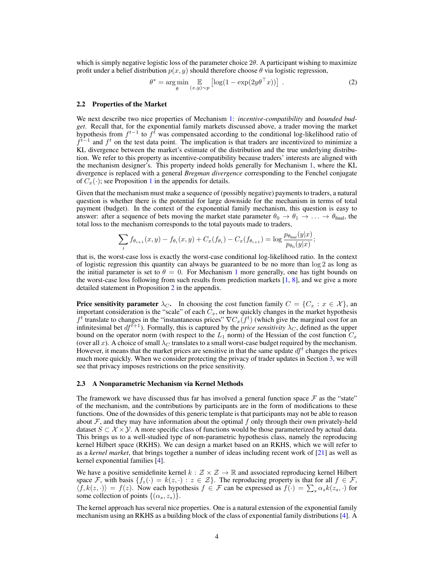which is simply negative logistic loss of the parameter choice  $2\theta$ . A participant wishing to maximize profit under a belief distribution  $p(x, y)$  should therefore choose  $\theta$  via logistic regression,

$$
\theta^* = \underset{\theta}{\arg\min} \mathop{\mathbb{E}}_{(x,y)\sim p} \left[ \log(1 - \exp(2y\theta^\top x)) \right] \,. \tag{2}
$$

### 2.2 Properties of the Market

We next describe two nice properties of Mechanism 1: *incentive-compatibility* and *bounded budget*. Recall that, for the exponential family markets discussed above, a trader moving the market hypothesis from  $f^{t-1}$  to  $f^{\bar{t}}$  was compensated according to the conditional log-likelihood ratio of  $f^{t-1}$  and  $f^t$  on the test data point. The implication is that traders are incentivized to minimize a KL divergence between the market's estimate of the distribution and the true underlying distribution. We refer to this property as incentive-compatibility because traders' interests are aligned with the mechanism designer's. This property indeed holds generally for Mechanism 1, where the KL divergence is replaced with a general *Bregman divergence* corresponding to the Fenchel conjugate of  $C_x(\cdot)$ ; see Proposition 1 in the appendix for details.

Given that the mechanism must make a sequence of (possibly negative) payments to traders, a natural question is whether there is the potential for large downside for the mechanism in terms of total payment (budget). In the context of the exponential family mechanism, this question is easy to answer: after a sequence of bets moving the market state parameter  $\theta_0 \to \theta_1 \to \ldots \to \theta_{\text{final}}$ , the total loss to the mechanism corresponds to the total payouts made to traders,

$$
\sum_{i} f_{\theta_{i+1}}(x, y) - f_{\theta_i}(x, y) + C_x(f_{\theta_i}) - C_x(f_{\theta_{i+1}}) = \log \frac{p_{\theta_{\text{final}}}(y|x)}{p_{\theta_0}(y|x)};
$$

that is, the worst-case loss is exactly the worst-case conditional log-likelihood ratio. In the context of logistic regression this quantity can always be guaranteed to be no more than log 2 as long as the initial parameter is set to  $\theta = 0$ . For Mechanism 1 more generally, one has tight bounds on the worst-case loss following from such results from prediction markets [1, 8], and we give a more detailed statement in Proposition 2 in the appendix.

**Price sensitivity parameter**  $\lambda_C$ . In choosing the cost function family  $C = \{C_x : x \in \mathcal{X}\}\)$ , an important consideration is the "scale" of each  $\tilde{C}_x$ , or how quickly changes in the market hypothesis  $f^t$  translate to changes in the "instantaneous prices"  $\nabla C_x(f^t)$  (which give the marginal cost for an infinitesimal bet  $df^{t+1}$ ). Formally, this is captured by the *price sensitivity*  $\lambda_C$ , defined as the upper bound on the operator norm (with respect to the  $L_1$  norm) of the Hessian of the cost function  $C_x$ (over all x). A choice of small  $\lambda_C$  translates to a small worst-case budget required by the mechanism. However, it means that the market prices are sensitive in that the same update  $df<sup>t</sup>$  changes the prices much more quickly. When we consider protecting the privacy of trader updates in Section 3, we will see that privacy imposes restrictions on the price sensitivity.

#### 2.3 A Nonparametric Mechanism via Kernel Methods

The framework we have discussed thus far has involved a general function space  $\mathcal F$  as the "state" of the mechanism, and the contributions by participants are in the form of modifications to these functions. One of the downsides of this generic template is that participants may not be able to reason about  $\mathcal F$ , and they may have information about the optimal  $f$  only through their own privately-held dataset  $S \subset \mathcal{X} \times \mathcal{Y}$ . A more specific class of functions would be those parameterized by actual data. This brings us to a well-studied type of non-parametric hypothesis class, namely the reproducing kernel Hilbert space (RKHS). We can design a market based on an RKHS, which we will refer to as a *kernel market*, that brings together a number of ideas including recent work of [21] as well as kernel exponential families [4].

We have a positive semidefinite kernel  $k : \mathcal{Z} \times \mathcal{Z} \to \mathbb{R}$  and associated reproducing kernel Hilbert space F, with basis  $\{f_z(\cdot) = k(z, \cdot) : z \in \mathcal{Z}\}\$ . The reproducing property is that for all  $f \in \mathcal{F}$ ,  $\langle f, k(z, \cdot) \rangle = f(z)$ . Now each hypothesis  $f \in \mathcal{F}$  can be expressed as  $f(\cdot) = \sum_{s} \alpha_{s} k(z_{s}, \cdot)$  for some collection of points  $\{(\alpha_s, z_s)\}.$ 

The kernel approach has several nice properties. One is a natural extension of the exponential family mechanism using an RKHS as a building block of the class of exponential family distributions [4]. A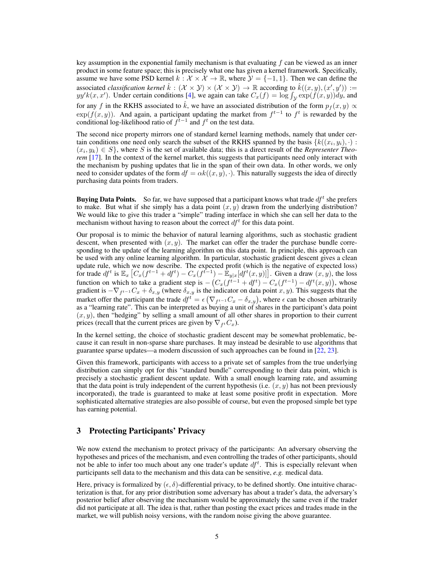key assumption in the exponential family mechanism is that evaluating  $f$  can be viewed as an inner product in some feature space; this is precisely what one has given a kernel framework. Specifically, assume we have some PSD kernel  $k : \mathcal{X} \times \mathcal{X} \to \mathbb{R}$ , where  $\mathcal{Y} = \{-1, 1\}$ . Then we can define the associated *classification kernel*  $\hat{k}: (\mathcal{X} \times \mathcal{Y}) \times (\mathcal{X} \times \mathcal{Y}) \to \mathbb{R}$  according to  $\hat{k}((x, y), (x', y')) :=$  $yy'k(x, x')$ . Under certain conditions [4], we again can take  $C_x(f) = \log \int_{\mathcal{Y}} \exp(f(x, y)) dy$ , and for any f in the RKHS associated to  $\hat{k}$ , we have an associated distribution of the form  $p_f(x, y) \propto$  $\exp(f(x, y))$ . And again, a participant updating the market from  $f^{t-1}$  to  $f^t$  is rewarded by the conditional log-likelihood ratio of  $f<sup>t-1</sup>$  and  $f<sup>t</sup>$  on the test data.

The second nice property mirrors one of standard kernel learning methods, namely that under certain conditions one need only search the subset of the RKHS spanned by the basis  $\{k((x_i, y_i), \cdot)$ :  $(x_i, y_k) \in S$ , where S is the set of available data; this is a direct result of the *Representer Theorem* [17]. In the context of the kernel market, this suggests that participants need only interact with the mechanism by pushing updates that lie in the span of their own data. In other words, we only need to consider updates of the form  $df = \alpha k((x, y), \cdot)$ . This naturally suggests the idea of directly purchasing data points from traders.

**Buying Data Points.** So far, we have supposed that a participant knows what trade  $df<sup>t</sup>$  she prefers to make. But what if she simply has a data point  $(x, y)$  drawn from the underlying distribution? We would like to give this trader a "simple" trading interface in which she can sell her data to the mechanism without having to reason about the correct  $df<sup>t</sup>$  for this data point.

Our proposal is to mimic the behavior of natural learning algorithms, such as stochastic gradient descent, when presented with  $(x, y)$ . The market can offer the trader the purchase bundle corresponding to the update of the learning algorithm on this data point. In principle, this approach can be used with any online learning algorithm. In particular, stochastic gradient descent gives a clean update rule, which we now describe. The expected profit (which is the negative of expected loss) for trade  $df^t$  is  $\mathbb{E}_x [C_x(f^{t-1} + df^t) - C_x(f^{t-1}) - \mathbb{E}_{y|x}[df^t(x, y)]]$ . Given a draw  $(x, y)$ , the loss function on which to take a gradient step is  $-(C_x(f^{t-1} + df^t) - C_x(f^{t-1}) - df^t(x, y))$ , whose gradient is  $-\nabla_{f^{t-1}}C_x + \delta_{x,y}$  (where  $\delta_{x,y}$  is the indicator on data point  $x, y$ ). This suggests that the market offer the participant the trade  $df^t = \epsilon \left( \nabla_{f^{t-1}} C_x - \delta_{x,y} \right)$ , where  $\epsilon$  can be chosen arbitrarily as a "learning rate". This can be interpreted as buying a unit of shares in the participant's data point  $(x, y)$ , then "hedging" by selling a small amount of all other shares in proportion to their current prices (recall that the current prices are given by  $\nabla_{f} C_x$ ).

In the kernel setting, the choice of stochastic gradient descent may be somewhat problematic, because it can result in non-sparse share purchases. It may instead be desirable to use algorithms that guarantee sparse updates—a modern discussion of such approaches can be found in [22, 23].

Given this framework, participants with access to a private set of samples from the true underlying distribution can simply opt for this "standard bundle" corresponding to their data point, which is precisely a stochastic gradient descent update. With a small enough learning rate, and assuming that the data point is truly independent of the current hypothesis (i.e.  $(x, y)$ ) has not been previously incorporated), the trade is guaranteed to make at least some positive profit in expectation. More sophisticated alternative strategies are also possible of course, but even the proposed simple bet type has earning potential.

# 3 Protecting Participants' Privacy

We now extend the mechanism to protect privacy of the participants: An adversary observing the hypotheses and prices of the mechanism, and even controlling the trades of other participants, should not be able to infer too much about any one trader's update  $df<sup>t</sup>$ . This is especially relevant when participants sell data to the mechanism and this data can be sensitive, *e.g.* medical data.

Here, privacy is formalized by  $(\epsilon, \delta)$ -differential privacy, to be defined shortly. One intuitive characterization is that, for any prior distribution some adversary has about a trader's data, the adversary's posterior belief after observing the mechanism would be approximately the same even if the trader did not participate at all. The idea is that, rather than posting the exact prices and trades made in the market, we will publish noisy versions, with the random noise giving the above guarantee.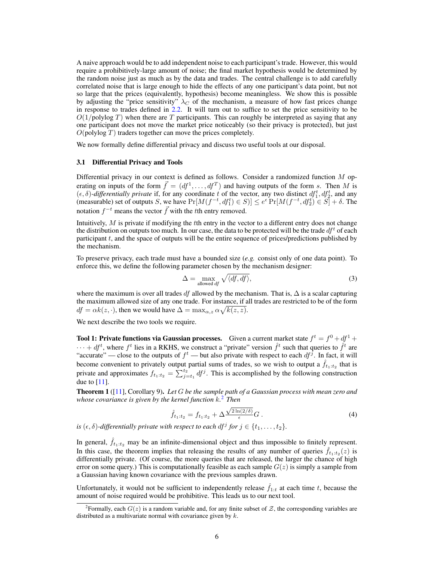A naive approach would be to add independent noise to each participant's trade. However, this would require a prohibitively-large amount of noise; the final market hypothesis would be determined by the random noise just as much as by the data and trades. The central challenge is to add carefully correlated noise that is large enough to hide the effects of any one participant's data point, but not so large that the prices (equivalently, hypothesis) become meaningless. We show this is possible by adjusting the "price sensitivity"  $\lambda_C$  of the mechanism, a measure of how fast prices change in response to trades defined in 2.2. It will turn out to suffice to set the price sensitivity to be  $O(1/\text{polylog }T)$  when there are T participants. This can roughly be interpreted as saying that any one participant does not move the market price noticeably (so their privacy is protected), but just  $O$ (polylog  $T$ ) traders together can move the prices completely.

We now formally define differential privacy and discuss two useful tools at our disposal.

#### 3.1 Differential Privacy and Tools

Differential privacy in our context is defined as follows. Consider a randomized function M operating on inputs of the form  $\vec{f} = (df^1, \dots, df^T)$  and having outputs of the form s. Then M is  $(\epsilon, \delta)$ -differentially private if, for any coordinate t of the vector, any two distinct  $df_1^t, df_2^t$ , and any (measurable) set of outputs S, we have  $Pr[M(f^{-t}, df_1^t) \in S)] \le e^{\epsilon} Pr[M(f^{-t}, df_2^t) \in S] + \delta$ . The notation  $f^{-t}$  means the vector  $\vec{f}$  with the tth entry removed.

Intuitively,  $M$  is private if modifying the tth entry in the vector to a different entry does not change the distribution on outputs too much. In our case, the data to be protected will be the trade  $df<sup>t</sup>$  of each participant t, and the space of outputs will be the entire sequence of prices/predictions published by the mechanism.

To preserve privacy, each trade must have a bounded size (*e.g.* consist only of one data point). To enforce this, we define the following parameter chosen by the mechanism designer:

$$
\Delta = \max_{\text{allowed } df} \sqrt{\langle df, df \rangle},\tag{3}
$$

where the maximum is over all trades df allowed by the mechanism. That is,  $\Delta$  is a scalar capturing the maximum allowed size of any one trade. For instance, if all trades are restricted to be of the form  $df = \alpha k(z, \cdot)$ , then we would have  $\Delta = \max_{\alpha, z} \alpha \sqrt{k(z, z)}$ .

We next describe the two tools we require.

Tool 1: Private functions via Gaussian processes. Given a current market state  $f^t = f^0 + df^1 +$  $\cdots + df^t$ , where  $f^t$  lies in a RKHS, we construct a "private" version  $\hat{f}^t$  such that queries to  $\hat{f}^t$  are "accurate" — close to the outputs of  $f^t$  — but also private with respect to each  $df^{\tilde{j}}$ . In fact, it will become convenient to privately output partial sums of trades, so we wish to output a  $\hat{f}_{t_1:t_2}$  that is private and approximates  $f_{t_1:t_2} = \sum_{j=t_1}^{t_2} df^j$ . This is accomplished by the following construction due to [11].

Theorem 1 ([11], Corollary 9). *Let* G *be the sample path of a Gaussian process with mean zero and whose covariance is given by the kernel function* k*.* 2 *Then* √

$$
\hat{f}_{t_1:t_2} = f_{t_1:t_2} + \Delta \frac{\sqrt{2\ln(2/\delta)}}{\epsilon} G.
$$
 (4)

*is*  $(\epsilon, \delta)$ -differentially private with respect to each df<sup>j</sup> for  $j \in \{t_1, \ldots, t_2\}$ .

In general,  $f_{t_1:t_2}$  may be an infinite-dimensional object and thus impossible to finitely represent. In this case, the theorem implies that releasing the results of any number of queries  $\hat{f}_{t_1:t_2}(z)$  is differentially private. (Of course, the more queries that are released, the larger the chance of high error on some query.) This is computationally feasible as each sample  $G(z)$  is simply a sample from a Gaussian having known covariance with the previous samples drawn.

Unfortunately, it would not be sufficient to independently release  $\hat{f}_{1:t}$  at each time t, because the amount of noise required would be prohibitive. This leads us to our next tool.

<sup>&</sup>lt;sup>2</sup> Formally, each  $G(z)$  is a random variable and, for any finite subset of  $\mathcal Z$ , the corresponding variables are distributed as a multivariate normal with covariance given by  $k$ .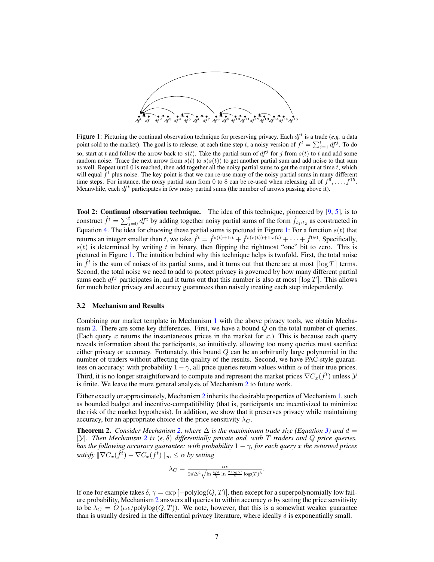

Figure 1: Picturing the continual observation technique for preserving privacy. Each  $df<sup>t</sup>$  is a trade (e.g. a data point sold to the market). The goal is to release, at each time step t, a noisy version of  $f^t = \sum_{j=1}^t df^j$ . To do so, start at t and follow the arrow back to  $s(t)$ . Take the partial sum of  $df<sup>j</sup>$  for j from  $s(t)$  to t and add some random noise. Trace the next arrow from  $s(t)$  to  $s(s(t))$  to get another partial sum and add noise to that sum as well. Repeat until 0 is reached, then add together all the noisy partial sums to get the output at time  $t$ , which will equal  $\hat{f}^t$  plus noise. The key point is that we can re-use many of the noisy partial sums in many different time steps. For instance, the noisy partial sum from 0 to 8 can be re-used when releasing all of  $f^9, \ldots, f^{15}$ . Meanwhile, each  $df^t$  participates in few noisy partial sums (the number of arrows passing above it).

Tool 2: Continual observation technique. The idea of this technique, pioneered by [9, 5], is to construct  $\hat{f}^t = \sum_{j=0}^t df^t$  by adding together noisy partial sums of the form  $\hat{f}_{t_1:t_2}$  as constructed in Equation 4. The idea for choosing these partial sums is pictured in Figure 1: For a function  $s(t)$  that returns an integer smaller than t, we take  $\hat{f}^t = \hat{f}^{s(t)+1:t} + \hat{f}^{s(s(t))+1:s(t)} + \cdots + \hat{f}^{0:0}$ . Specifically,  $s(t)$  is determined by writing t in binary, then flipping the rightmost "one" bit to zero. This is pictured in Figure 1. The intuition behind why this technique helps is twofold. First, the total noise in  $\hat{f}^t$  is the sum of noises of its partial sums, and it turns out that there are at most  $\lceil \log T \rceil$  terms. Second, the total noise we need to add to protect privacy is governed by how many different partial sums each  $df^j$  participates in, and it turns out that this number is also at most  $\lceil \log T \rceil$ . This allows for much better privacy and accuracy guarantees than naively treating each step independently.

### 3.2 Mechanism and Results

Combining our market template in Mechanism 1 with the above privacy tools, we obtain Mechanism 2. There are some key differences. First, we have a bound  $Q$  on the total number of queries. (Each query  $x$  returns the instantaneous prices in the market for  $x$ .) This is because each query reveals information about the participants, so intuitively, allowing too many queries must sacrifice either privacy or accuracy. Fortunately, this bound  $Q$  can be an arbitrarily large polynomial in the number of traders without affecting the quality of the results. Second, we have PAC-style guarantees on accuracy: with probability  $1 - \gamma$ , all price queries return values within  $\alpha$  of their true prices. Third, it is no longer straightforward to compute and represent the market prices  $\nabla C_x(\hat{f}^t)$  unless  ${\cal Y}$ is finite. We leave the more general analysis of Mechanism 2 to future work.

Either exactly or approximately, Mechanism 2 inherits the desirable properties of Mechanism 1, such as bounded budget and incentive-compatitibility (that is, participants are incentivized to minimize the risk of the market hypothesis). In addition, we show that it preserves privacy while maintaining accuracy, for an appropriate choice of the price sensitivity  $\lambda_C$ .

**Theorem 2.** *Consider Mechanism 2, where*  $\Delta$  *is the maximimum trade size (Equation 3)* and  $d =$  $|\mathcal{Y}|$ *. Then Mechanism* 2 *is*  $(\epsilon, \delta)$  *differentially private and, with* T *traders and* Q *price queries, has the following accuracy guarantee: with probability* 1 − γ*, for each query* x *the returned prices*  $satisfy$   $\|\nabla C_x(\hat{f}^t) - \nabla C_x(f^t)\|_\infty \leq \alpha$  by setting

$$
\lambda_C = \frac{\alpha \epsilon}{2d\Delta^2 \sqrt{\ln \frac{Qd}{\gamma} \ln \frac{2 \log T}{\delta} \log(T)^3}}.
$$

If one for example takes  $\delta, \gamma = \exp[-\text{polylog}(Q, T)]$ , then except for a superpolynomially low failure probability, Mechanism 2 answers all queries to within accuracy  $\alpha$  by setting the price sensitivity to be  $\lambda_C = O(\alpha \epsilon / \text{polylog}(Q, T))$ . We note, however, that this is a somewhat weaker guarantee than is usually desired in the differential privacy literature, where ideally  $\delta$  is exponentially small.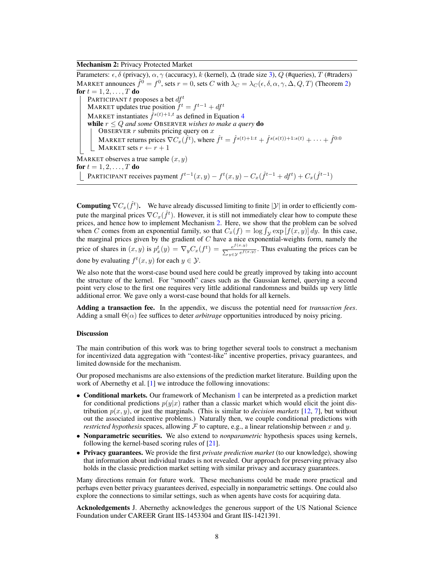### Mechanism 2: Privacy Protected Market

Parameters:  $\epsilon, \delta$  (privacy),  $\alpha, \gamma$  (accuracy), k (kernel),  $\Delta$  (trade size 3), Q (#queries), T (#traders) MARKET announces  $\hat{f}^0 = f^0$ , sets  $r = 0$ , sets C with  $\lambda_C = \lambda_C(\epsilon, \delta, \alpha, \gamma, \Delta, Q, T)$  (Theorem 2) for  $t = 1, 2, \ldots, T$  do PARTICIPANT t proposes a bet  $df^t$ MARKET updates true position  $f^t = f^{t-1} + df^t$ MARKET instantiates  $\hat{f}^{s(t)+1,t}$  as defined in Equation 4 while  $r \leq Q$  and some OBSERVER wishes to make a query do OBSERVER  $r$  submits pricing query on  $x$ MARKET returns prices  $\nabla C_x(\hat{f}^t)$ , where  $\hat{f}^t = \hat{f}^{s(t)+1:t} + \hat{f}^{s(s(t))+1:s(t)} + \cdots + \hat{f}^{0:0}$ MARKET sets  $r \leftarrow r + 1$ MARKET observes a true sample  $(x, y)$ for  $t = 1, 2, ..., T$  do

PARTICIPANT receives payment  $f^{t-1}(x,y) - f^t(x,y) - C_x(\hat{f}^{t-1} + df^t) + C_x(\hat{f}^{t-1})$ 

**Computing**  $\nabla C_x(\hat{f}^t)$ . We have already discussed limiting to finite  $|\mathcal{Y}|$  in order to efficiently compute the marginal prices  $\nabla C_x(\hat{f}^t)$ . However, it is still not immediately clear how to compute these prices, and hence how to implement Mechanism 2. Here, we show that the problem can be solved when C comes from an exponential family, so that  $C_x(f) = \log \int_V \exp[f(x, y)] dy$ . In this case, when  $\circ$  comes from an exponential rannity, so that  $\circ x(y) = \log y_y \exp(y(x, y)) dy$ . In this case, the marginal prices given by the gradient of C have a nice exponential-weights form, namely the price of shares in  $(x, y)$  is  $p_x^t(y) = \nabla_y C_x(f^t) = \frac{e^{f(x, y)}}{\sum_{z \in \mathcal{X}} e^{f(z, y)}}$  $\frac{e^{j(x,y)}}{\sum_{y \in \mathcal{Y}} e^{f(x,y)}}$ . Thus evaluating the prices can be done by evaluating  $f^t(x, y)$  for each  $y \in \mathcal{Y}$ .

We also note that the worst-case bound used here could be greatly improved by taking into account the structure of the kernel. For "smooth" cases such as the Gaussian kernel, querying a second point very close to the first one requires very little additional randomness and builds up very little additional error. We gave only a worst-case bound that holds for all kernels.

Adding a transaction fee. In the appendix, we discuss the potential need for *transaction fees*. Adding a small  $\Theta(\alpha)$  fee suffices to deter *arbitrage* opportunities introduced by noisy pricing.

### **Discussion**

The main contribution of this work was to bring together several tools to construct a mechanism for incentivized data aggregation with "contest-like" incentive properties, privacy guarantees, and limited downside for the mechanism.

Our proposed mechanisms are also extensions of the prediction market literature. Building upon the work of Abernethy et al. [1] we introduce the following innovations:

- Conditional markets. Our framework of Mechanism 1 can be interpreted as a prediction market for conditional predictions  $p(y|x)$  rather than a classic market which would elicit the joint distribution  $p(x, y)$ , or just the marginals. (This is similar to *decision markets* [12, 7], but without out the associated incentive problems.) Naturally then, we couple conditional predictions with *restricted hypothesis* spaces, allowing  $\mathcal F$  to capture, e.g., a linear relationship between x and y.
- Nonparametric securities. We also extend to *nonparametric* hypothesis spaces using kernels, following the kernel-based scoring rules of [21].
- Privacy guarantees. We provide the first *private prediction market* (to our knowledge), showing that information about individual trades is not revealed. Our approach for preserving privacy also holds in the classic prediction market setting with similar privacy and accuracy guarantees.

Many directions remain for future work. These mechanisms could be made more practical and perhaps even better privacy guarantees derived, especially in nonparametric settings. One could also explore the connections to similar settings, such as when agents have costs for acquiring data.

Acknoledgements J. Abernethy acknowledges the generous support of the US National Science Foundation under CAREER Grant IIS-1453304 and Grant IIS-1421391.